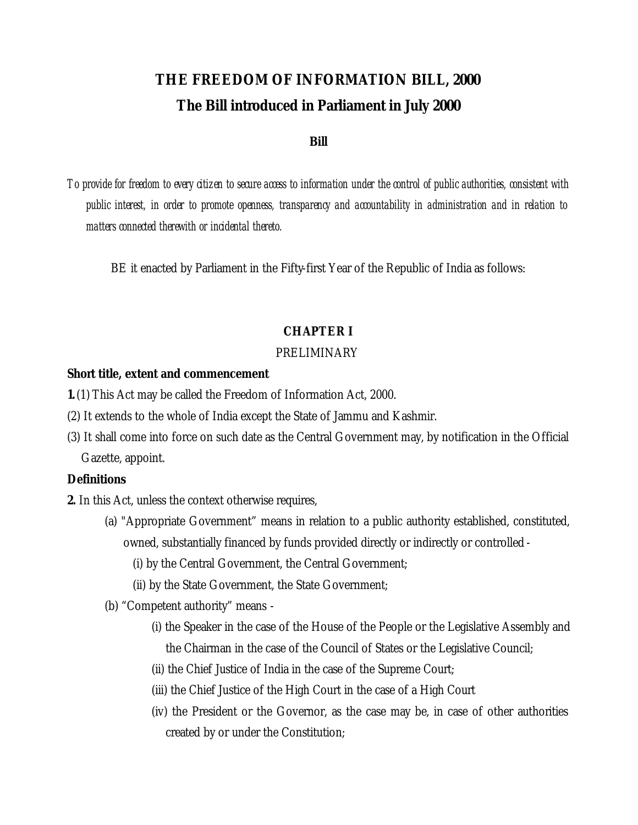# **THE FREEDOM OF INFORMATION BILL, 2000 The Bill introduced in Parliament in July 2000**

#### **Bill**

*To provide for freedom to every citizen to secure access to information under the control of public authorities, consistent with public interest, in order to promote openness, transparency and accountability in administration and in relation to matters connected therewith or incidental thereto.* 

BE it enacted by Parliament in the Fifty-first Year of the Republic of India as follows:

## **CHAPTER I**

## PRELIMINARY

#### **Short title, extent and commencement**

- **1.**(1) This Act may be called the Freedom of Information Act, 2000.
- (2) It extends to the whole of India except the State of Jammu and Kashmir.
- (3) It shall come into force on such date as the Central Government may, by notification in the Official Gazette, appoint.

#### **Definitions**

**2.** In this Act, unless the context otherwise requires,

- (a) "Appropriate Government" means in relation to a public authority established, constituted, owned, substantially financed by funds provided directly or indirectly or controlled -
	- (i) by the Central Government, the Central Government;
	- (ii) by the State Government, the State Government;
- (b) "Competent authority" means
	- (i) the Speaker in the case of the House of the People or the Legislative Assembly and the Chairman in the case of the Council of States or the Legislative Council;
	- (ii) the Chief Justice of India in the case of the Supreme Court;
	- (iii) the Chief Justice of the High Court in the case of a High Court
	- (iv) the President or the Governor, as the case may be, in case of other authorities created by or under the Constitution;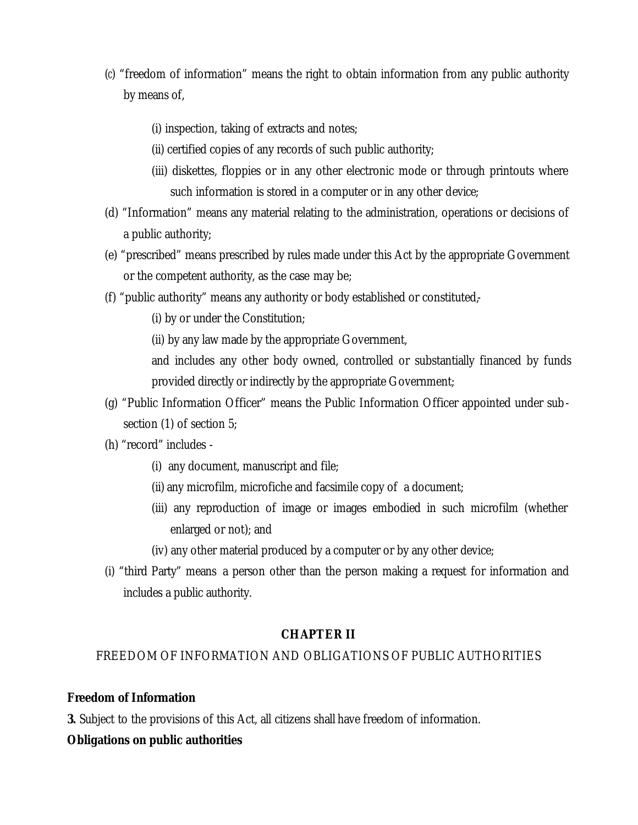- (*c*) "freedom of information" means the right to obtain information from any public authority by means of,
	- (i) inspection, taking of extracts and notes;
	- (ii) certified copies of any records of such public authority;
	- (iii) diskettes, floppies or in any other electronic mode or through printouts where such information is stored in a computer or in any other device;
- (d) "Information" means any material relating to the administration, operations or decisions of a public authority;
- (e) "prescribed" means prescribed by rules made under this Act by the appropriate Government or the competent authority, as the case may be;
- (f) "public authority" means any authority or body established or constituted,-
	- (i) by or under the Constitution;
	- (ii) by any law made by the appropriate Government,
	- and includes any other body owned, controlled or substantially financed by funds provided directly or indirectly by the appropriate Government;
- (g) "Public Information Officer" means the Public Information Officer appointed under subsection (1) of section 5;
- (h) "record" includes
	- (i) any document, manuscript and file;
	- (ii) any microfilm, microfiche and facsimile copy of a document;
	- (iii) any reproduction of image or images embodied in such microfilm (whether enlarged or not); and
	- (iv) any other material produced by a computer or by any other device;
- (i) "third Party" means a person other than the person making a request for information and includes a public authority.

## **CHAPTER II**

## FREEDOM OF INFORMATION AND OBLIGATIONS OF PUBLIC AUTHORITIES

#### **Freedom of Information**

**3.** Subject to the provisions of this Act, all citizens shall have freedom of information.

#### **Obligations on public authorities**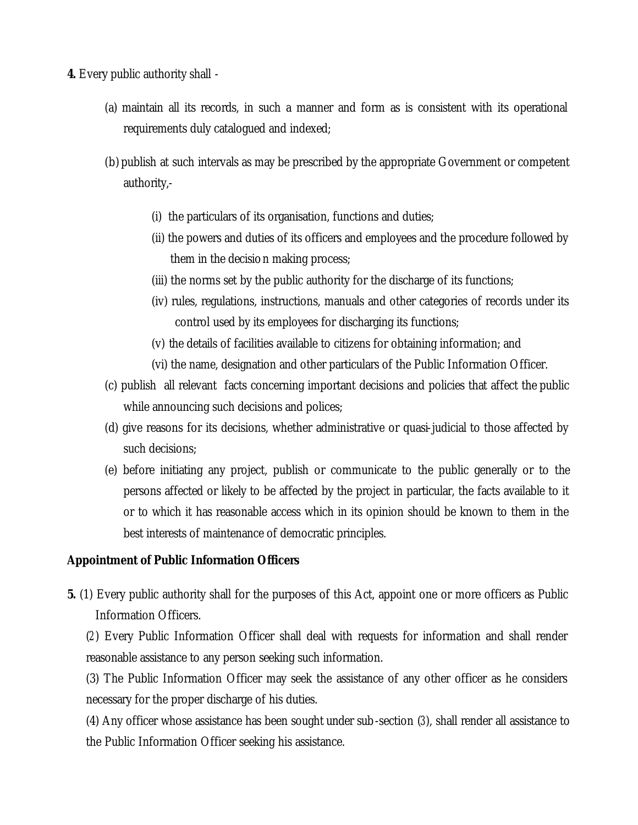- **4.** Every public authority shall
	- (a) maintain all its records, in such a manner and form as is consistent with its operational requirements duly catalogued and indexed;
	- (b) publish at such intervals as may be prescribed by the appropriate Government or competent authority,-
		- (i) the particulars of its organisation, functions and duties;
		- (ii) the powers and duties of its officers and employees and the procedure followed by them in the decision making process;
		- (iii) the norms set by the public authority for the discharge of its functions;
		- (iv) rules, regulations, instructions, manuals and other categories of records under its control used by its employees for discharging its functions;
		- (v) the details of facilities available to citizens for obtaining information; and
		- (vi) the name, designation and other particulars of the Public Information Officer.
	- (c) publish all relevant facts concerning important decisions and policies that affect the public while announcing such decisions and polices;
	- (d) give reasons for its decisions, whether administrative or quasi-judicial to those affected by such decisions;
	- (e) before initiating any project, publish or communicate to the public generally or to the persons affected or likely to be affected by the project in particular, the facts available to it or to which it has reasonable access which in its opinion should be known to them in the best interests of maintenance of democratic principles.

#### **Appointment of Public Information Officers**

**5.** (1) Every public authority shall for the purposes of this Act, appoint one or more officers as Public Information Officers.

(*2*) Every Public Information Officer shall deal with requests for information and shall render reasonable assistance to any person seeking such information.

(3) The Public Information Officer may seek the assistance of any other officer as he considers necessary for the proper discharge of his duties.

(4) Any officer whose assistance has been sought under sub-section (*3*), shall render all assistance to the Public Information Officer seeking his assistance.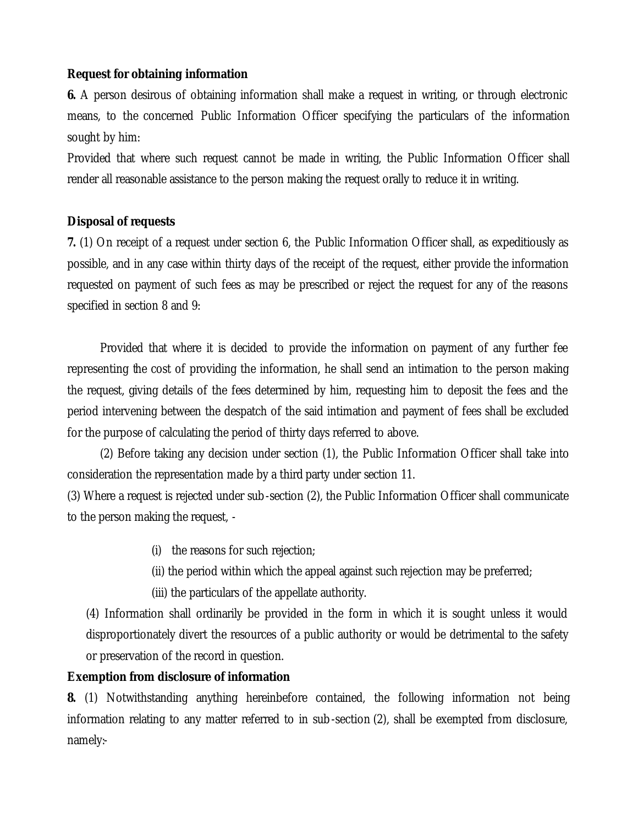## **Request for obtaining information**

**6.** A person desirous of obtaining information shall make a request in writing, or through electronic means, to the concerned Public Information Officer specifying the particulars of the information sought by him:

Provided that where such request cannot be made in writing, the Public Information Officer shall render all reasonable assistance to the person making the request orally to reduce it in writing.

## **Disposal of requests**

**7.** (1) On receipt of a request under section 6, the Public Information Officer shall, as expeditiously as possible, and in any case within thirty days of the receipt of the request, either provide the information requested on payment of such fees as may be prescribed or reject the request for any of the reasons specified in section 8 and 9:

Provided that where it is decided to provide the information on payment of any further fee representing the cost of providing the information, he shall send an intimation to the person making the request, giving details of the fees determined by him, requesting him to deposit the fees and the period intervening between the despatch of the said intimation and payment of fees shall be excluded for the purpose of calculating the period of thirty days referred to above.

(2) Before taking any decision under section (1), the Public Information Officer shall take into consideration the representation made by a third party under section 11.

(3) Where a request is rejected under sub-section (2), the Public Information Officer shall communicate to the person making the request, -

- (i) the reasons for such rejection;
- (ii) the period within which the appeal against such rejection may be preferred;
- (iii) the particulars of the appellate authority.

(4) Information shall ordinarily be provided in the form in which it is sought unless it would disproportionately divert the resources of a public authority or would be detrimental to the safety or preservation of the record in question.

## **Exemption from disclosure of information**

**8.** (1) Notwithstanding anything hereinbefore contained, the following information not being information relating to any matter referred to in sub-section (2), shall be exempted from disclosure, namely:-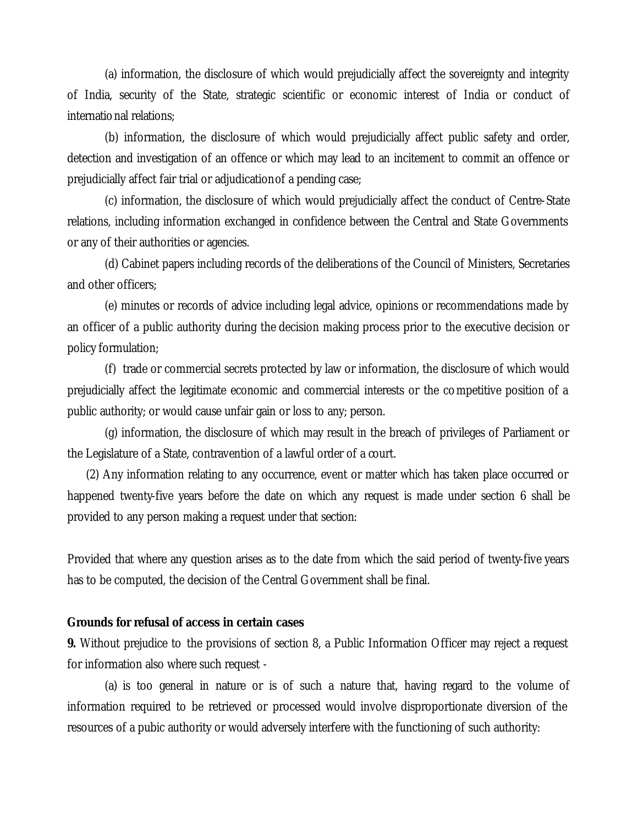(a) information, the disclosure of which would prejudicially affect the sovereignty and integrity of India, security of the State, strategic scientific or economic interest of India or conduct of international relations;

(b) information, the disclosure of which would prejudicially affect public safety and order, detection and investigation of an offence or which may lead to an incitement to commit an offence or prejudicially affect fair trial or adjudication of a pending case;

(c) information, the disclosure of which would prejudicially affect the conduct of Centre-State relations, including information exchanged in confidence between the Central and State Governments or any of their authorities or agencies.

(d) Cabinet papers including records of the deliberations of the Council of Ministers, Secretaries and other officers;

(e) minutes or records of advice including legal advice, opinions or recommendations made by an officer of a public authority during the decision making process prior to the executive decision or policy formulation;

(f) trade or commercial secrets protected by law or information, the disclosure of which would prejudicially affect the legitimate economic and commercial interests or the competitive position of a public authority; or would cause unfair gain or loss to any; person.

(g) information, the disclosure of which may result in the breach of privileges of Parliament or the Legislature of a State, contravention of a lawful order of a court.

(2) Any information relating to any occurrence, event or matter which has taken place occurred or happened twenty-five years before the date on which any request is made under section 6 shall be provided to any person making a request under that section:

Provided that where any question arises as to the date from which the said period of twenty-five years has to be computed, the decision of the Central Government shall be final.

## **Grounds for refusal of access in certain cases**

**9.** Without prejudice to the provisions of section 8, a Public Information Officer may reject a request for information also where such request -

(a) is too general in nature or is of such a nature that, having regard to the volume of information required to be retrieved or processed would involve disproportionate diversion of the resources of a pubic authority or would adversely interfere with the functioning of such authority: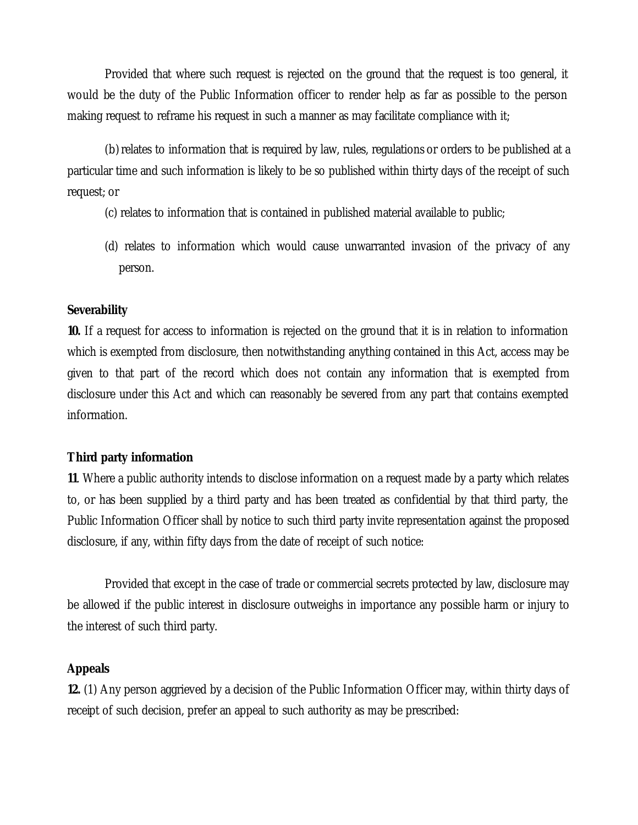Provided that where such request is rejected on the ground that the request is too general, it would be the duty of the Public Information officer to render help as far as possible to the person making request to reframe his request in such a manner as may facilitate compliance with it;

(b)relates to information that is required by law, rules, regulations or orders to be published at a particular time and such information is likely to be so published within thirty days of the receipt of such request; or

- (c) relates to information that is contained in published material available to public;
- (d) relates to information which would cause unwarranted invasion of the privacy of any person.

#### **Severability**

**10.** If a request for access to information is rejected on the ground that it is in relation to information which is exempted from disclosure, then notwithstanding anything contained in this Act, access may be given to that part of the record which does not contain any information that is exempted from disclosure under this Act and which can reasonably be severed from any part that contains exempted information.

## **Third party information**

**11**. Where a public authority intends to disclose information on a request made by a party which relates to, or has been supplied by a third party and has been treated as confidential by that third party, the Public Information Officer shall by notice to such third party invite representation against the proposed disclosure, if any, within fifty days from the date of receipt of such notice:

Provided that except in the case of trade or commercial secrets protected by law, disclosure may be allowed if the public interest in disclosure outweighs in importance any possible harm or injury to the interest of such third party.

## **Appeals**

**12.** (1) Any person aggrieved by a decision of the Public Information Officer may, within thirty days of receipt of such decision, prefer an appeal to such authority as may be prescribed: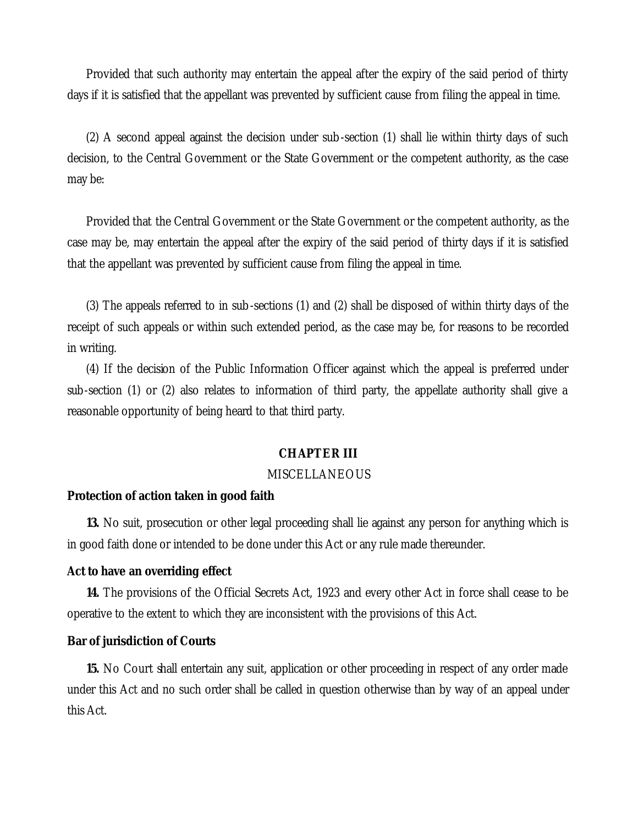Provided that such authority may entertain the appeal after the expiry of the said period of thirty days if it is satisfied that the appellant was prevented by sufficient cause from filing the appeal in time.

(2) A second appeal against the decision under sub-section (1) shall lie within thirty days of such decision, to the Central Government or the State Government or the competent authority, as the case may be:

Provided that the Central Government or the State Government or the competent authority, as the case may be, may entertain the appeal after the expiry of the said period of thirty days if it is satisfied that the appellant was prevented by sufficient cause from filing the appeal in time.

(3) The appeals referred to in sub-sections (1) and (2) shall be disposed of within thirty days of the receipt of such appeals or within such extended period, as the case may be, for reasons to be recorded in writing.

(4) If the decision of the Public Information Officer against which the appeal is preferred under sub-section (1) or (2) also relates to information of third party, the appellate authority shall give a reasonable opportunity of being heard to that third party.

#### **CHAPTER III**

#### MISCELLANEOUS

#### **Protection of action taken in good faith**

**13.** No suit, prosecution or other legal proceeding shall lie against any person for anything which is in good faith done or intended to be done under this Act or any rule made thereunder.

#### **Act to have an overriding effect**

**14.** The provisions of the Official Secrets Act, 1923 and every other Act in force shall cease to be operative to the extent to which they are inconsistent with the provisions of this Act.

#### **Bar of jurisdiction of Courts**

**15.** No Court shall entertain any suit, application or other proceeding in respect of any order made under this Act and no such order shall be called in question otherwise than by way of an appeal under this Act.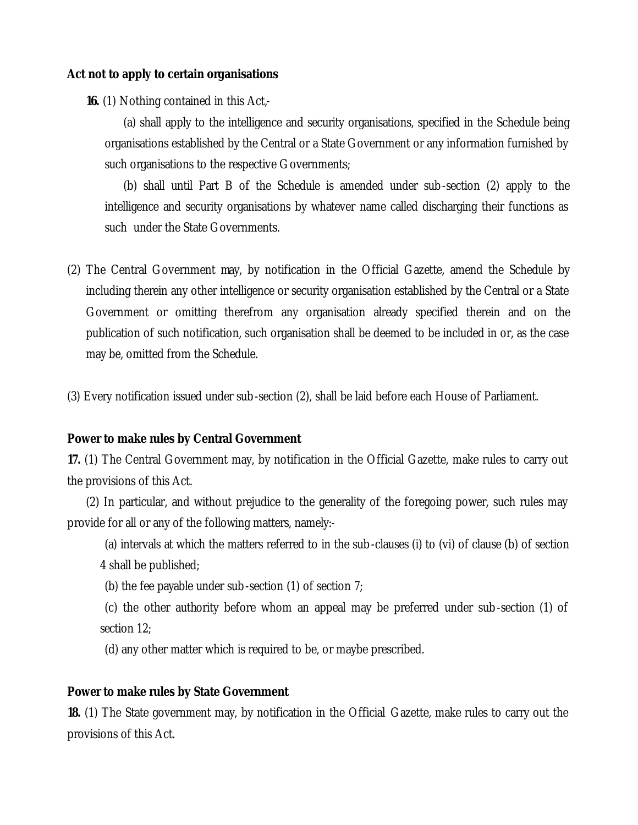## **Act not to apply to certain organisations**

**16.** (1) Nothing contained in this Act,-

(a) shall apply to the intelligence and security organisations, specified in the Schedule being organisations established by the Central or a State Government or any information furnished by such organisations to the respective Governments;

(b) shall until Part B of the Schedule is amended under sub-section (2) apply to the intelligence and security organisations by whatever name called discharging their functions as such under the State Governments.

(2) The Central Government may, by notification in the Official Gazette, amend the Schedule by including therein any other intelligence or security organisation established by the Central or a State Government or omitting therefrom any organisation already specified therein and on the publication of such notification, such organisation shall be deemed to be included in or, as the case may be, omitted from the Schedule.

(3) Every notification issued under sub-section (2), shall be laid before each House of Parliament.

## **Power to make rules by Central Government**

**17.** (1) The Central Government may, by notification in the Official Gazette, make rules to carry out the provisions of this Act.

(2) In particular, and without prejudice to the generality of the foregoing power, such rules may provide for all or any of the following matters, namely:-

- (a) intervals at which the matters referred to in the sub-clauses (i) to (vi) of clause (b) of section 4 shall be published;
- (b) the fee payable under sub-section (1) of section 7;
- (c) the other authority before whom an appeal may be preferred under sub-section (1) of section 12;
- (d) any other matter which is required to be, or maybe prescribed.

### **Power to make rules by State Government**

**18.** (1) The State government may, by notification in the Official Gazette, make rules to carry out the provisions of this Act.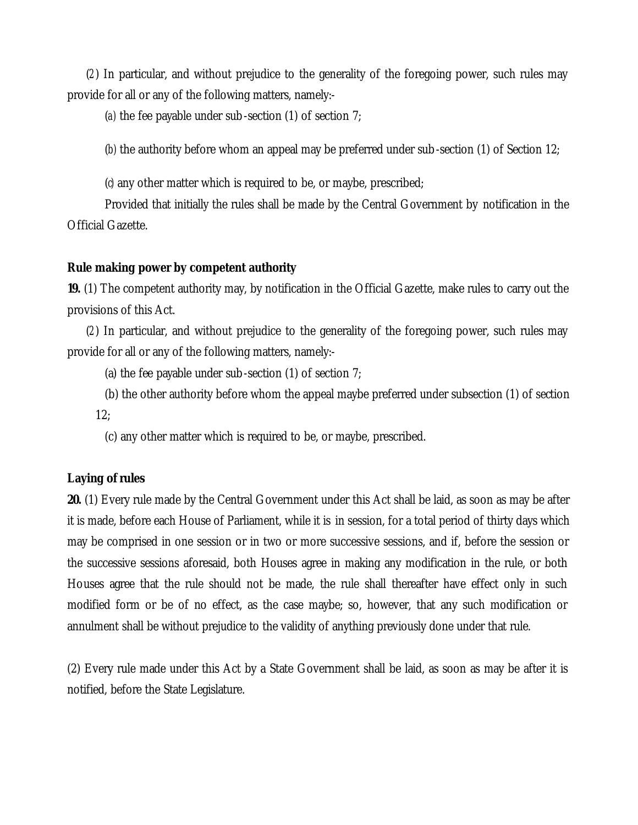(*2*) In particular, and without prejudice to the generality of the foregoing power, such rules may provide for all or any of the following matters, namely:-

(*a)* the fee payable under sub-section (1) of section 7;

(*b)* the authority before whom an appeal may be preferred under sub-section (1) of Section 12;

(*c)* any other matter which is required to be, or maybe, prescribed;

Provided that initially the rules shall be made by the Central Government by notification in the Official Gazette.

## **Rule making power by competent authority**

**19.** (1) The competent authority may, by notification in the Official Gazette, make rules to carry out the provisions of this Act.

(*2*) In particular, and without prejudice to the generality of the foregoing power, such rules may provide for all or any of the following matters, namely:-

(a) the fee payable under sub-section (1) of section 7;

(b) the other authority before whom the appeal maybe preferred under subsection (1) of section 12;

(c) any other matter which is required to be, or maybe, prescribed.

#### **Laying of rules**

**20.** (1) Every rule made by the Central Government under this Act shall be laid, as soon as may be after it is made, before each House of Parliament, while it is in session, for a total period of thirty days which may be comprised in one session or in two or more successive sessions, and if, before the session or the successive sessions aforesaid, both Houses agree in making any modification in the rule, or both Houses agree that the rule should not be made, the rule shall thereafter have effect only in such modified form or be of no effect, as the case maybe; so, however, that any such modification or annulment shall be without prejudice to the validity of anything previously done under that rule.

(2) Every rule made under this Act by a State Government shall be laid, as soon as may be after it is notified, before the State Legislature.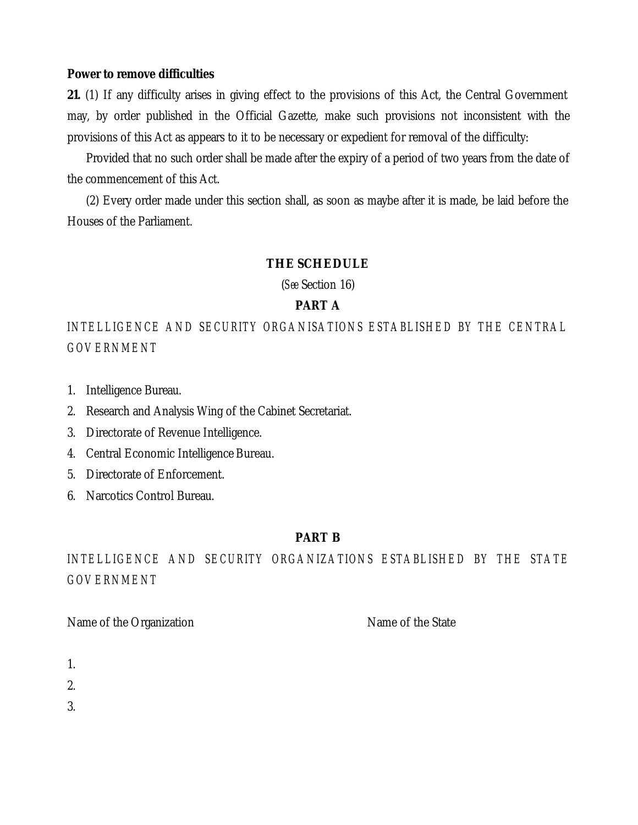## **Power to remove difficulties**

**21.** (1) If any difficulty arises in giving effect to the provisions of this Act, the Central Government may, by order published in the Official Gazette, make such provisions not inconsistent with the provisions of this Act as appears to it to be necessary or expedient for removal of the difficulty:

Provided that no such order shall be made after the expiry of a period of two years from the date of the commencement of this Act.

(2) Every order made under this section shall, as soon as maybe after it is made, be laid before the Houses of the Parliament.

## **THE SCHEDULE**

(*See* Section 16)

## **PART A**

*INTELLIGENCE AND SECURITY ORGANISATIONS ESTABLISHED BY THE CENTRAL GOVERNMENT*

- 1. Intelligence Bureau.
- 2. Research and Analysis Wing of the Cabinet Secretariat.
- 3. Directorate of Revenue Intelligence.
- 4. Central Economic Intelligence Bureau.
- 5. Directorate of Enforcement.
- 6. Narcotics Control Bureau.

## **PART B**

*INTELLIGENCE AND SECURITY ORGANIZATIONS ESTABLISHED BY THE STATE GOVERNMENT*

Name of the Organization Name of the State

|  | $\sim$ |  |
|--|--------|--|

2.

3.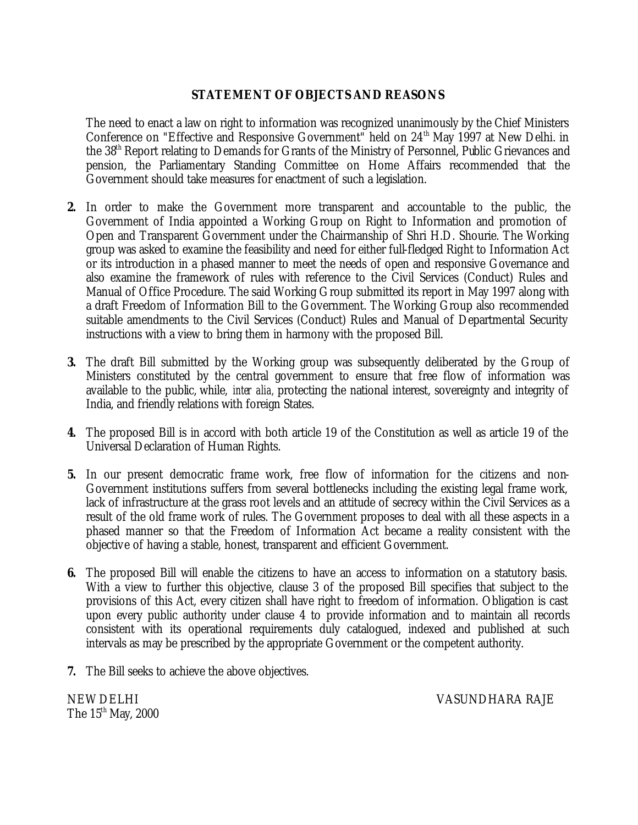# **STATEMENT OF OBJECTS AND REASONS**

The need to enact a law on right to information was recognized unanimously by the Chief Ministers Conference on "Effective and Responsive Government" held on 24<sup>th</sup> May 1997 at New Delhi. in the 38th Report relating to Demands for Grants of the Ministry of Personnel, Public Grievances and pension, the Parliamentary Standing Committee on Home Affairs recommended that the Government should take measures for enactment of such a legislation.

- **2.** In order to make the Government more transparent and accountable to the public, the Government of India appointed a Working Group on Right to Information and promotion of Open and Transparent Government under the Chairmanship of Shri H.D. Shourie. The Working group was asked to examine the feasibility and need for either full-fledged Right to Information Act or its introduction in a phased manner to meet the needs of open and responsive Governance and also examine the framework of rules with reference to the Civil Services (Conduct) Rules and Manual of Office Procedure. The said Working Group submitted its report in May 1997 along with a draft Freedom of Information Bill to the Government. The Working Group also recommended suitable amendments to the Civil Services (Conduct) Rules and Manual of Departmental Security instructions with a view to bring them in harmony with the proposed Bill.
- **3.** The draft Bill submitted by the Working group was subsequently deliberated by the Group of Ministers constituted by the central government to ensure that free flow of information was available to the public, while, *inter alia,* protecting the national interest, sovereignty and integrity of India, and friendly relations with foreign States.
- **4.** The proposed Bill is in accord with both article 19 of the Constitution as well as article 19 of the Universal Declaration of Human Rights.
- **5.** In our present democratic frame work, free flow of information for the citizens and non-Government institutions suffers from several bottlenecks including the existing legal frame work, lack of infrastructure at the grass root levels and an attitude of secrecy within the Civil Services as a result of the old frame work of rules. The Government proposes to deal with all these aspects in a phased manner so that the Freedom of Information Act became a reality consistent with the objective of having a stable, honest, transparent and efficient Government.
- **6.** The proposed Bill will enable the citizens to have an access to information on a statutory basis. With a view to further this objective, clause 3 of the proposed Bill specifies that subject to the provisions of this Act, every citizen shall have right to freedom of information. Obligation is cast upon every public authority under clause 4 to provide information and to maintain all records consistent with its operational requirements duly catalogued, indexed and published at such intervals as may be prescribed by the appropriate Government or the competent authority.
- **7.** The Bill seeks to achieve the above objectives.

The  $15<sup>th</sup>$  May, 2000

NEW DELHI VASUNDHARA RAJE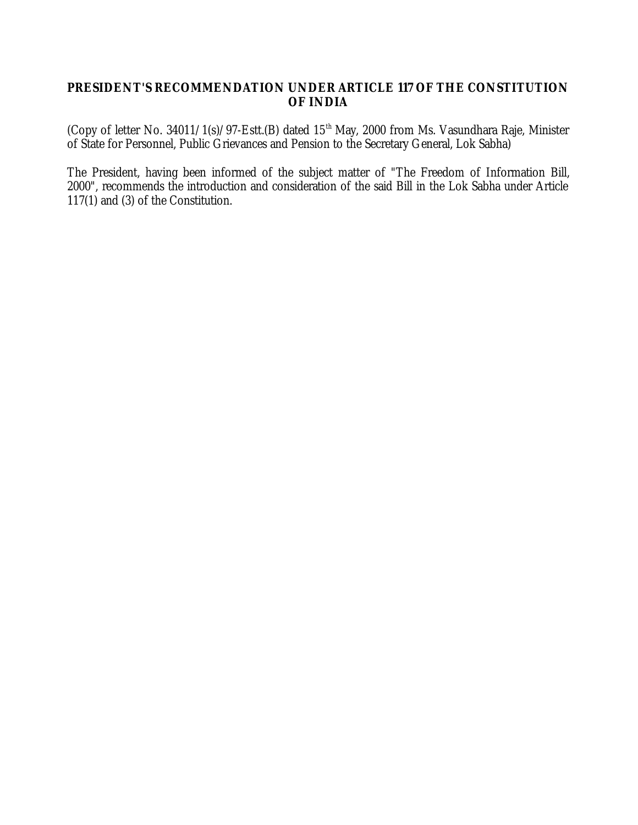# **PRESIDENT'S RECOMMENDATION UNDER ARTICLE 117 OF THE CONSTITUTION OF INDIA**

(Copy of letter No. 34011/1(s)/97-Estt.(B) dated 15<sup>th</sup> May, 2000 from Ms. Vasundhara Raje, Minister of State for Personnel, Public Grievances and Pension to the Secretary General, Lok Sabha)

The President, having been informed of the subject matter of "The Freedom of Information Bill, 2000", recommends the introduction and consideration of the said Bill in the Lok Sabha under Article 117(1) and (3) of the Constitution.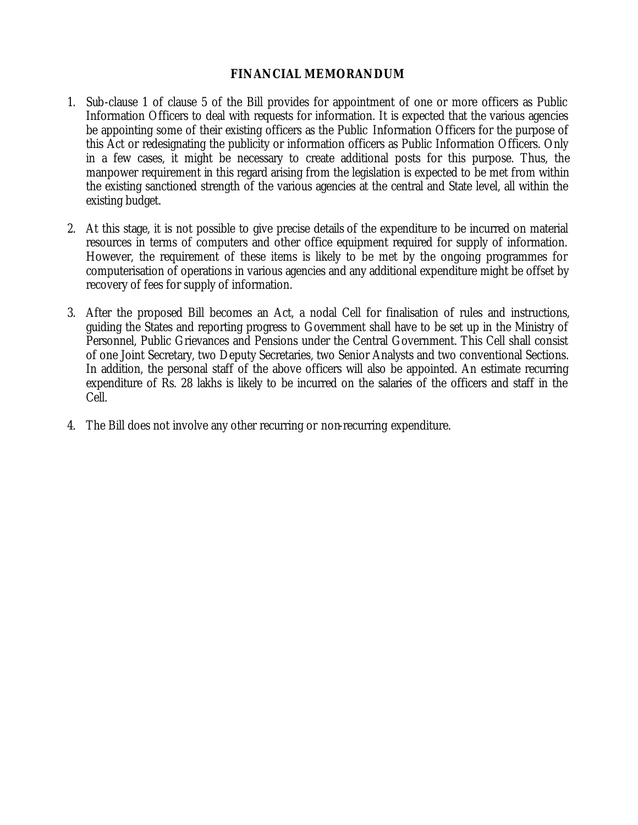# **FINANCIAL MEMORANDUM**

- 1. Sub-clause 1 of clause 5 of the Bill provides for appointment of one or more officers as Public Information Officers to deal with requests for information. It is expected that the various agencies be appointing some of their existing officers as the Public Information Officers for the purpose of this Act or redesignating the publicity or information officers as Public Information Officers. Only in a few cases, it might be necessary to create additional posts for this purpose. Thus, the manpower requirement in this regard arising from the legislation is expected to be met from within the existing sanctioned strength of the various agencies at the central and State level, all within the existing budget.
- 2. At this stage, it is not possible to give precise details of the expenditure to be incurred on material resources in terms of computers and other office equipment required for supply of information. However, the requirement of these items is likely to be met by the ongoing programmes for computerisation of operations in various agencies and any additional expenditure might be offset by recovery of fees for supply of information.
- 3. After the proposed Bill becomes an Act, a nodal Cell for finalisation of rules and instructions, guiding the States and reporting progress to Government shall have to be set up in the Ministry of Personnel, Public Grievances and Pensions under the Central Government. This Cell shall consist of one Joint Secretary, two Deputy Secretaries, two Senior Analysts and two conventional Sections. In addition, the personal staff of the above officers will also be appointed. An estimate recurring expenditure of Rs. 28 lakhs is likely to be incurred on the salaries of the officers and staff in the Cell.
- 4. The Bill does not involve any other recurring or non-recurring expenditure.